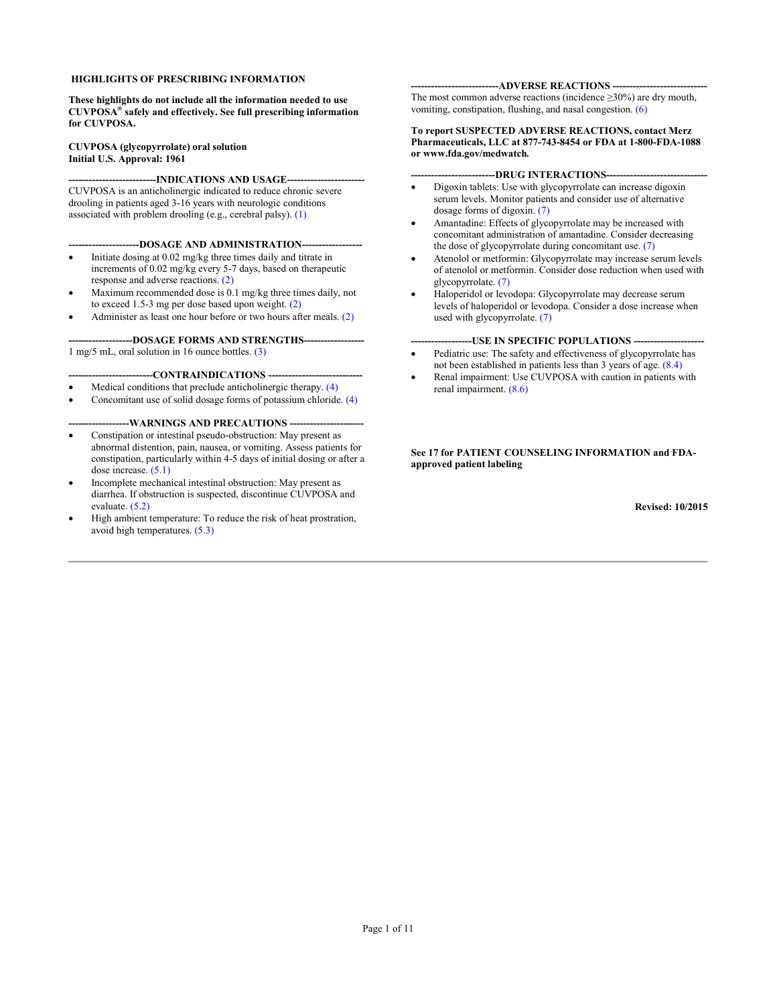# **HIGHLIGHTS OF PRESCRIBING INFORMATION**

**These highlights do not include all the information needed to use CUVPOSA® safely and effectively. See full prescribing information for CUVPOSA.** 

**CUVPOSA (glycopyrrolate) oral solution Initial U.S. Approval: 1961**

-**INDICATIONS AND USAGE---**CUVPOSA is an anticholinergic indicated to reduce chronic severe drooling in patients aged 3-16 years with neurologic conditions associated with problem drooling (e.g., cerebral palsy[\). \(1\)](#page-2-0)

-DOSAGE AND ADMINISTRATION--

- Initiate dosing at 0.02 mg/kg three times daily and titrate in increments of 0.02 mg/kg ever[y 5-7 d](#page-2-0)ays, based on therapeutic response and adverse reactions. (2)
- Maximum recommended dose is 0.1 mg/kg th[ree tim](#page-2-0)es daily, not to exceed 1.5-3 mg per dose based upon weight. (2)
- Administer as least one hour before or two hours after mea[ls. \(2\)](#page-2-0)

-DOSAGE FORMS AND STRENGTHS----1 mg/5 mL, oral solution in 16 ounce bottles. [\(3\)](#page-2-0) 

### -CONTRAINDICATIONS -

- Medical conditions that preclude anticholinergic therap[y. \(4\)](#page-2-0)
- Concomitant use of solid dosage forms of potassium chloride. [\(4\)](#page-2-0)

-WARNINGS AND PRECAUTIONS --

- Constipation or intestinal pseudo-obstruction: May present as abnormal distention, pain, nausea, or vomiting. Assess patients for constipation, particularly within 4-5 days of initial dosing or after a dose increase. (5.1)
- Incomplete [mechanical](#page-3-0) intestinal obstruction: May present as diarrhe[a. If obstru](#page-3-0)ction is suspected, discontinue CUVPOSA and evaluate. (5.2)
- High ambient tempe[rature: To re](#page-3-0)duce the risk of heat prostration, avoid high temperatures. (5.3)

#### --ADVERSE REACTIONS ----

The most common adverse reactions (incidence  $\geq$ 30%) are dry mouth, vomiting, constipation, flushing, and nasal congesti[on. \(6\)](#page-3-0) 

#### **To report SUSPECTED ADVERSE REACTIONS, contact Merz Pharmaceuticals, LLC at 877-743-8454 or FDA at 1-800-FDA-1088 or www.fda.gov/medwatch***.*

**-------------------------DRUG INTERACTIONS------------------------------**

- Digoxin tablets: Use with glycopyrrolate can increase digoxin serum levels. Monitor [patients an](#page-4-0)d consider use of alternative dosage forms of digoxin. (7)
- Amantadine: Effects of glycopyrrolate may be increased with concomitant administration of amantadine. Consider decreasing the dose of glycopyrrolate during concomitant use. (7)
- Atenolol or metformin: Glycopyrrolate may incr[ease serum l](#page-4-0)evels of atenolol or metformin. Consider dose reduction when used with glycopyrrolate. (7)
- Haloperidol [or levodop](#page-4-0)a: Glycopyrrolate may decrease serum levels of haloperidol or levodopa. Consider a dose increase when used with glycopyrrola[te. \(7\)](#page-4-0)

**-USE IN SPECIFIC POPULATIONS ---**

- Pediatric use: The safety and effectiveness of glycopyrrolate has not been established in patients less than 3 years of ag[e. \(8.4\)](#page-5-0)
- Renal impairment: Use CUVPOSA with caution in patients with renal impairment. [\(8.6\)](#page-5-0)

### **See 17 for PATIENT COUNSELING INFORMATION and FDAapproved patient labeling**

**Revised: 10/2015**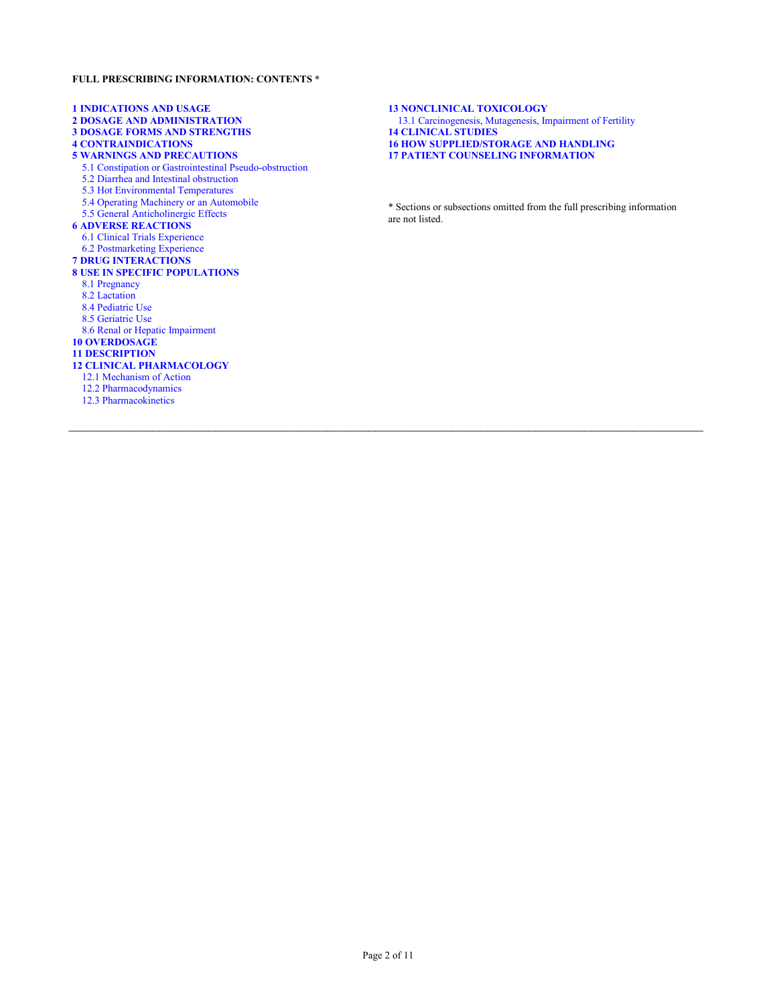# **FULL PRESCRIBING INFORMATION: CONTENTS \***

**1 INDICATIONS AND USAGE 2 DOSAGE AND ADMINISTRATION [3 DOSAGE FORMS AND STRENGTHS](#page-2-0) 4 CONTRAINDICATIONS 5 WARNINGS AND PRECAUTIONS** [5.1 Constipation or Gastrointestinal Pseudo-obstruction](#page-3-0) 5.2 Diarrhea and Intestinal obstruction 5.3 Hot Environmental Temperatures 5.4 Operating Machinery or an Automobile 5.5 General Anticholinergic Effects **6 ADVERSE REACTIONS** 6.1 Clinical Trials Experience 6.2 Postmarketing Experience **7 DRUG INTERACTIONS [8 USE IN SPECIFIC POPULATIONS](#page-4-0)** 8.1 Pregnancy 8.2 Lactation 8.4 Pediatric Use 8.5 Geriatric Use 8.6 Renal or Hepatic Impairment **10 OVERDOSAGE 11 DESCRIPTION [12 CLINICAL PHARMACOLOGY](#page-5-0)** 12.1 Mechanism of Action 12.2 Pharmacodynamics [12.3 Pharmacokinetics](#page-6-0)

**13 NONCLINICAL TOXICOLOGY** [13.1 Carcinogenesis, Mutagenesis, Impairment of Fertility](#page-7-0) **14 CLINICAL STUDIES [16 HOW SUPPLIED/STORAGE AND HANDLING](#page-8-0) 17 PATIENT COUNSELING INFORMATION**

\* Sections or subsections omitted from the full prescribing information are not listed.

 $\mathcal{L}_\mathcal{L} = \mathcal{L}_\mathcal{L} = \mathcal{L}_\mathcal{L} = \mathcal{L}_\mathcal{L} = \mathcal{L}_\mathcal{L} = \mathcal{L}_\mathcal{L} = \mathcal{L}_\mathcal{L} = \mathcal{L}_\mathcal{L} = \mathcal{L}_\mathcal{L} = \mathcal{L}_\mathcal{L} = \mathcal{L}_\mathcal{L} = \mathcal{L}_\mathcal{L} = \mathcal{L}_\mathcal{L} = \mathcal{L}_\mathcal{L} = \mathcal{L}_\mathcal{L} = \mathcal{L}_\mathcal{L} = \mathcal{L}_\mathcal{L}$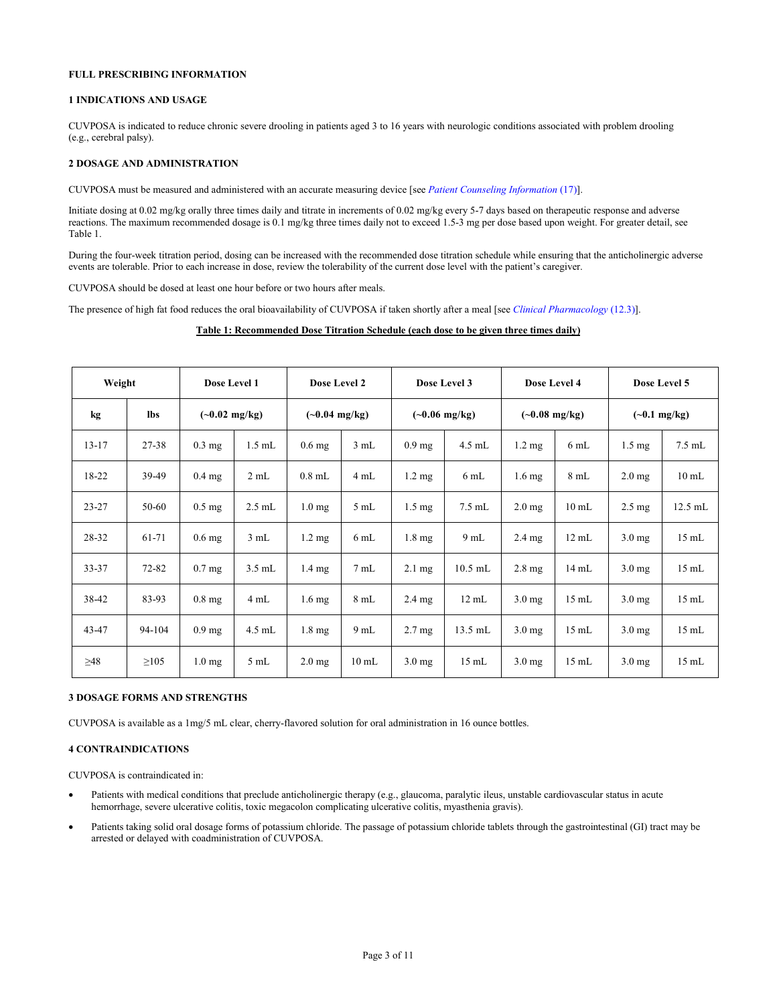# <span id="page-2-0"></span>**FULL PRESCRIBING INFORMATION**

# **1 INDICATIONS AND USAGE**

CUVPOSA is indicated to reduce chronic severe drooling in patients aged 3 to 16 years with neurologic conditions associated with problem drooling (e.g., cerebral palsy).

# **2 DOSAGE AND ADMINISTRATION**

CUVPOSA must be measured and administered with an accurate measuring device [see *[Patient Counseling Information](#page-8-0)* (17)].

Initiate dosing at 0.02 mg/kg orally three times daily and titrate in increments of 0.02 mg/kg every 5-7 days based on therapeutic response and adverse reactions. The maximum recommended dosage is 0.1 mg/kg three times daily not to exceed 1.5-3 mg per dose based upon weight. For greater detail, see Table 1.

During the four-week titration period, dosing can be increased with the recommended dose titration schedule while ensuring that the anticholinergic adverse events are tolerable. Prior to each increase in dose, review the tolerability of the current dose level with the patient's caregiver.

CUVPOSA should be dosed at least one hour before or two hours after meals.

The presence of high fat food reduces the oral bioavailability of CUVPOSA if taken shortly after a meal [see *[Clinical Pharmacology](#page-6-0)* (12.3)].

### **Table 1: Recommended Dose Titration Schedule (each dose to be given three times daily)**

| Weight    |            | Dose Level 1            |          | Dose Level 2            |                 | Dose Level 3            |                 | Dose Level 4            |                 | Dose Level 5           |                 |
|-----------|------------|-------------------------|----------|-------------------------|-----------------|-------------------------|-----------------|-------------------------|-----------------|------------------------|-----------------|
| kg        | <b>lbs</b> | $(-0.02 \text{ mg/kg})$ |          | $(-0.04 \text{ mg/kg})$ |                 | $(-0.06 \text{ mg/kg})$ |                 | $(-0.08 \text{ mg/kg})$ |                 | $(-0.1 \text{ mg/kg})$ |                 |
| $13 - 17$ | 27-38      | $0.3$ mg                | $1.5$ mL | $0.6$ mg                | 3 mL            | $0.9$ mg                | $4.5$ mL        | $1.2 \text{ mg}$        | 6 mL            | $1.5 \text{ mg}$       | $7.5$ mL        |
| 18-22     | 39-49      | $0.4$ mg                | 2 mL     | $0.8$ mL                | 4 mL            | $1.2 \text{ mg}$        | 6mL             | $1.6 \text{ mg}$        | 8mL             | $2.0 \text{ mg}$       | $10 \text{ mL}$ |
| $23 - 27$ | 50-60      | $0.5 \text{ mg}$        | $2.5$ mL | 1.0 <sub>mg</sub>       | $5 \text{ mL}$  | $1.5 \text{ mg}$        | $7.5$ mL        | $2.0 \text{ mg}$        | $10 \text{ mL}$ | $2.5 \text{ mg}$       | 12.5 mL         |
| 28-32     | 61-71      | $0.6$ mg                | 3 mL     | $1.2 \text{ mg}$        | $6 \text{ mL}$  | $1.8 \text{ mg}$        | $9$ mL          | $2.4 \text{ mg}$        | $12 \text{ mL}$ | $3.0$ mg               | $15 \text{ mL}$ |
| 33-37     | $72 - 82$  | $0.7$ mg                | $3.5$ mL | $1.4 \text{ mg}$        | $7 \text{ mL}$  | $2.1 \text{ mg}$        | $10.5$ mL       | $2.8 \text{ mg}$        | 14 mL           | $3.0$ mg               | $15 \text{ mL}$ |
| 38-42     | 83-93      | $0.8$ mg                | 4 mL     | $1.6 \text{ mg}$        | 8mL             | $2.4 \text{ mg}$        | $12 \text{ mL}$ | $3.0$ mg                | $15 \text{ mL}$ | $3.0 \text{ mg}$       | $15 \text{ mL}$ |
| 43-47     | 94-104     | $0.9$ mg                | 4.5 mL   | $1.8 \text{ mg}$        | $9 \text{ mL}$  | $2.7 \text{ mg}$        | $13.5$ mL       | $3.0$ mg                | $15 \text{ mL}$ | $3.0$ mg               | $15 \text{ mL}$ |
| $\geq 48$ | $\geq 105$ | 1.0 <sub>mg</sub>       | 5mL      | $2.0$ mg                | $10 \text{ mL}$ | $3.0$ mg                | $15 \text{ mL}$ | $3.0$ mg                | $15 \text{ mL}$ | $3.0$ mg               | $15 \text{ mL}$ |

# **3 DOSAGE FORMS AND STRENGTHS**

CUVPOSA is available as a 1mg/5 mL clear, cherry-flavored solution for oral administration in 16 ounce bottles.

### **4 CONTRAINDICATIONS**

CUVPOSA is contraindicated in:

- Patients with medical conditions that preclude anticholinergic therapy (e.g., glaucoma, paralytic ileus, unstable cardiovascular status in acute hemorrhage, severe ulcerative colitis, toxic megacolon complicating ulcerative colitis, myasthenia gravis).
- Patients taking solid oral dosage forms of potassium chloride. The passage of potassium chloride tablets through the gastrointestinal (GI) tract may be arrested or delayed with coadministration of CUVPOSA.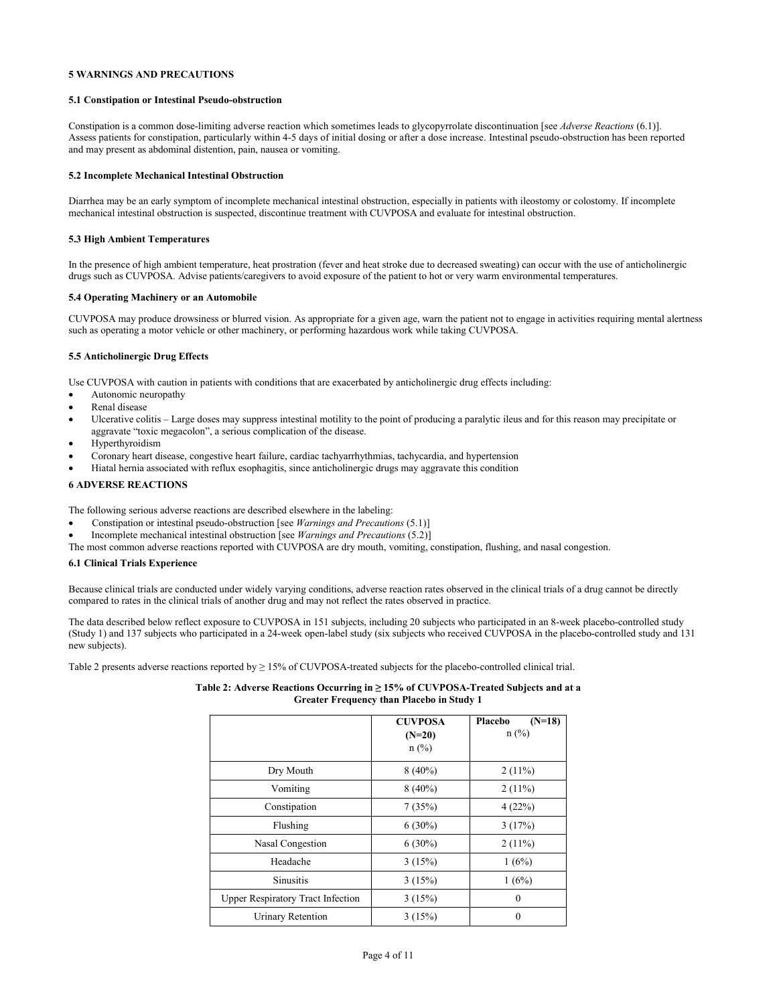# <span id="page-3-0"></span>**5 WARNINGS AND PRECAUTIONS**

### **5.1 Constipation or Intestinal Pseudo-obstruction**

Constipation is a common dose-limiting adverse reaction which sometimes leads to glycopyrrolate discontinuation [see *Adverse Reactions* (6.1)]. Assess patients for constipation, particularly within 4-5 days of initial dosing or after a dose increase. Intestinal pseudo-obstruction has been reported and may present as abdominal distention, pain, nausea or vomiting.

# **5.2 Incomplete Mechanical Intestinal Obstruction**

Diarrhea may be an early symptom of incomplete mechanical intestinal obstruction, especially in patients with ileostomy or colostomy. If incomplete mechanical intestinal obstruction is suspected, discontinue treatment with CUVPOSA and evaluate for intestinal obstruction.

### **5.3 High Ambient Temperatures**

In the presence of high ambient temperature, heat prostration (fever and heat stroke due to decreased sweating) can occur with the use of anticholinergic drugs such as CUVPOSA. Advise patients/caregivers to avoid exposure of the patient to hot or very warm environmental temperatures.

# **5.4 Operating Machinery or an Automobile**

CUVPOSA may produce drowsiness or blurred vision. As appropriate for a given age, warn the patient not to engage in activities requiring mental alertness such as operating a motor vehicle or other machinery, or performing hazardous work while taking CUVPOSA.

# **5.5 Anticholinergic Drug Effects**

Use CUVPOSA with caution in patients with conditions that are exacerbated by anticholinergic drug effects including:

- Autonomic neuropathy
- Renal disease
- Ulcerative colitis Large doses may suppress intestinal motility to the point of producing a paralytic ileus and for this reason may precipitate or aggravate "toxic megacolon", a serious complication of the disease.
- Hyperthyroidism
- Coronary heart disease, congestive heart failure, cardiac tachyarrhythmias, tachycardia, and hypertension
- Hiatal hernia associated with reflux esophagitis, since anticholinergic drugs may aggravate this condition

# **6 ADVERSE REACTIONS**

The following serious adverse reactions are described elsewhere in the labeling:

- Constipation or intestinal pseudo-obstruction [see *Warnings and Precautions* (5.1)]
- Incomplete mechanical intestinal obstruction [see *Warnings and Precautions* (5.2)]

The most common adverse reactions reported with CUVPOSA are dry mouth, vomiting, constipation, flushing, and nasal congestion.

### **6.1 Clinical Trials Experience**

Because clinical trials are conducted under widely varying conditions, adverse reaction rates observed in the clinical trials of a drug cannot be directly compared to rates in the clinical trials of another drug and may not reflect the rates observed in practice.

The data described below reflect exposure to CUVPOSA in 151 subjects, including 20 subjects who participated in an 8-week placebo-controlled study (Study 1) and 137 subjects who participated in a 24-week open-label study (six subjects who received CUVPOSA in the placebo-controlled study and 131 new subjects).

Table 2 presents adverse reactions reported by  $\geq 15\%$  of CUVPOSA-treated subjects for the placebo-controlled clinical trial.

# **Table 2: Adverse Reactions Occurring in ≥ 15% of CUVPOSA-Treated Subjects and at a Greater Frequency than Placebo in Study 1**

|                                          | <b>CUVPOSA</b><br>$(N=20)$<br>$n$ (%) | $(N=18)$<br>Placebo<br>$n$ (%) |
|------------------------------------------|---------------------------------------|--------------------------------|
| Dry Mouth                                | $8(40\%)$                             | $2(11\%)$                      |
| Vomiting                                 | $8(40\%)$                             | $2(11\%)$                      |
| Constipation                             | 7(35%)                                | 4(22%)                         |
| Flushing                                 | $6(30\%)$                             | 3(17%)                         |
| Nasal Congestion                         | $6(30\%)$                             | $2(11\%)$                      |
| Headache                                 | 3(15%)                                | 1(6%)                          |
| <b>Sinusitis</b>                         | 3(15%)                                | 1(6%)                          |
| <b>Upper Respiratory Tract Infection</b> | 3(15%)                                | $\mathbf{0}$                   |
| <b>Urinary Retention</b>                 | 3(15%)                                | $\boldsymbol{0}$               |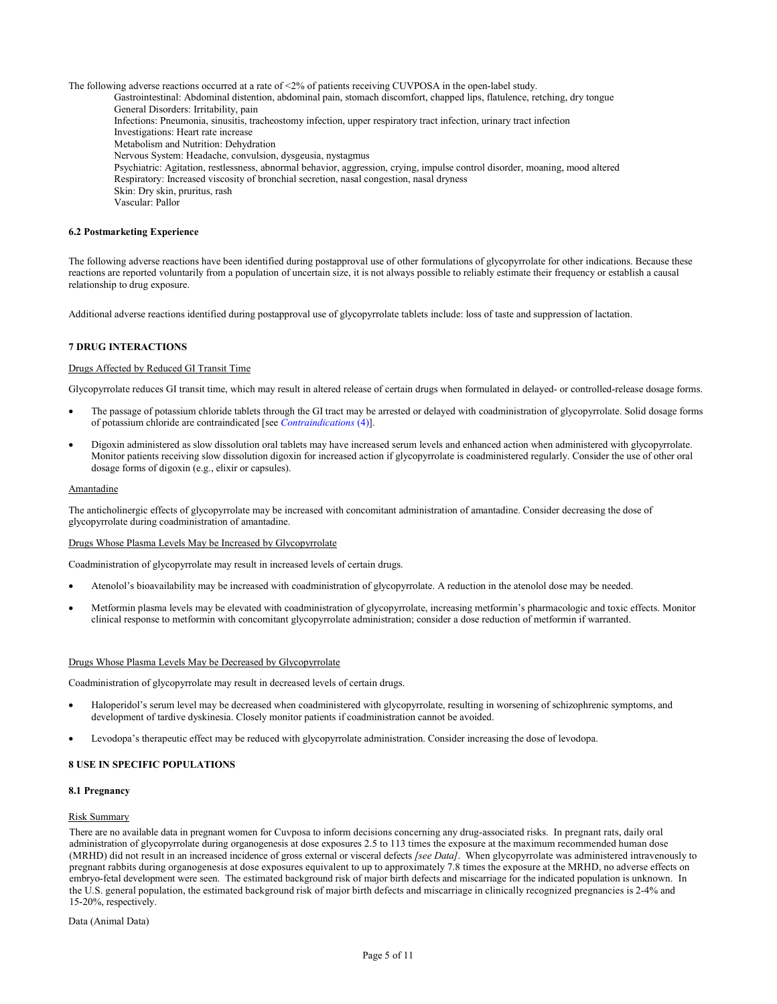<span id="page-4-0"></span>The following adverse reactions occurred at a rate of <2% of patients receiving CUVPOSA in the open-label study. Gastrointestinal: Abdominal distention, abdominal pain, stomach discomfort, chapped lips, flatulence, retching, dry tongue General Disorders: Irritability, pain Infections: Pneumonia, sinusitis, tracheostomy infection, upper respiratory tract infection, urinary tract infection Investigations: Heart rate increase Metabolism and Nutrition: Dehydration Nervous System: Headache, convulsion, dysgeusia, nystagmus Psychiatric: Agitation, restlessness, abnormal behavior, aggression, crying, impulse control disorder, moaning, mood altered Respiratory: Increased viscosity of bronchial secretion, nasal congestion, nasal dryness Skin: Dry skin, pruritus, rash Vascular: Pallor

# **6.2 Postmarketing Experience**

The following adverse reactions have been identified during postapproval use of other formulations of glycopyrrolate for other indications. Because these reactions are reported voluntarily from a population of uncertain size, it is not always possible to reliably estimate their frequency or establish a causal relationship to drug exposure.

Additional adverse reactions identified during postapproval use of glycopyrrolate tablets include: loss of taste and suppression of lactation.

# **7 DRUG INTERACTIONS**

### Drugs Affected by Reduced GI Transit Time

Glycopyrrolate reduces GI transit time, which may result in altered release of certain drugs when formulated in delayed- or controlled-release dosage forms.

- The passage of potassium chloride tablets through the GI tract may be arrested or delayed with coadministration of glycopyrrolate. Solid dosage forms of potassium chloride are contraindicated [see *[Contraindications](#page-2-0)* (4)].
- Digoxin administered as slow dissolution oral tablets may have increased serum levels and enhanced action when administered with glycopyrrolate. Monitor patients receiving slow dissolution digoxin for increased action if glycopyrrolate is coadministered regularly. Consider the use of other oral dosage forms of digoxin (e.g., elixir or capsules).

### Amantadine

The anticholinergic effects of glycopyrrolate may be increased with concomitant administration of amantadine. Consider decreasing the dose of glycopyrrolate during coadministration of amantadine.

#### Drugs Whose Plasma Levels May be Increased by Glycopyrrolate

Coadministration of glycopyrrolate may result in increased levels of certain drugs.

- Atenolol's bioavailability may be increased with coadministration of glycopyrrolate. A reduction in the atenolol dose may be needed.
- Metformin plasma levels may be elevated with coadministration of glycopyrrolate, increasing metformin's pharmacologic and toxic effects. Monitor clinical response to metformin with concomitant glycopyrrolate administration; consider a dose reduction of metformin if warranted.

### Drugs Whose Plasma Levels May be Decreased by Glycopyrrolate

Coadministration of glycopyrrolate may result in decreased levels of certain drugs.

- Haloperidol's serum level may be decreased when coadministered with glycopyrrolate, resulting in worsening of schizophrenic symptoms, and development of tardive dyskinesia. Closely monitor patients if coadministration cannot be avoided.
- Levodopa's therapeutic effect may be reduced with glycopyrrolate administration. Consider increasing the dose of levodopa.

# **8 USE IN SPECIFIC POPULATIONS**

# **8.1 Pregnancy**

# Risk Summary

There are no available data in pregnant women for Cuvposa to inform decisions concerning any drug-associated risks. In pregnant rats, daily oral administration of glycopyrrolate during organogenesis at dose exposures 2.5 to 113 times the exposure at the maximum recommended human dose (MRHD) did not result in an increased incidence of gross external or visceral defects *[see Data]*. When glycopyrrolate was administered intravenously to pregnant rabbits during organogenesis at dose exposures equivalent to up to approximately 7.8 times the exposure at the MRHD, no adverse effects on embryo-fetal development were seen. The estimated background risk of major birth defects and miscarriage for the indicated population is unknown. In the U.S. general population, the estimated background risk of major birth defects and miscarriage in clinically recognized pregnancies is 2-4% and 15-20%, respectively.

Data (Animal Data)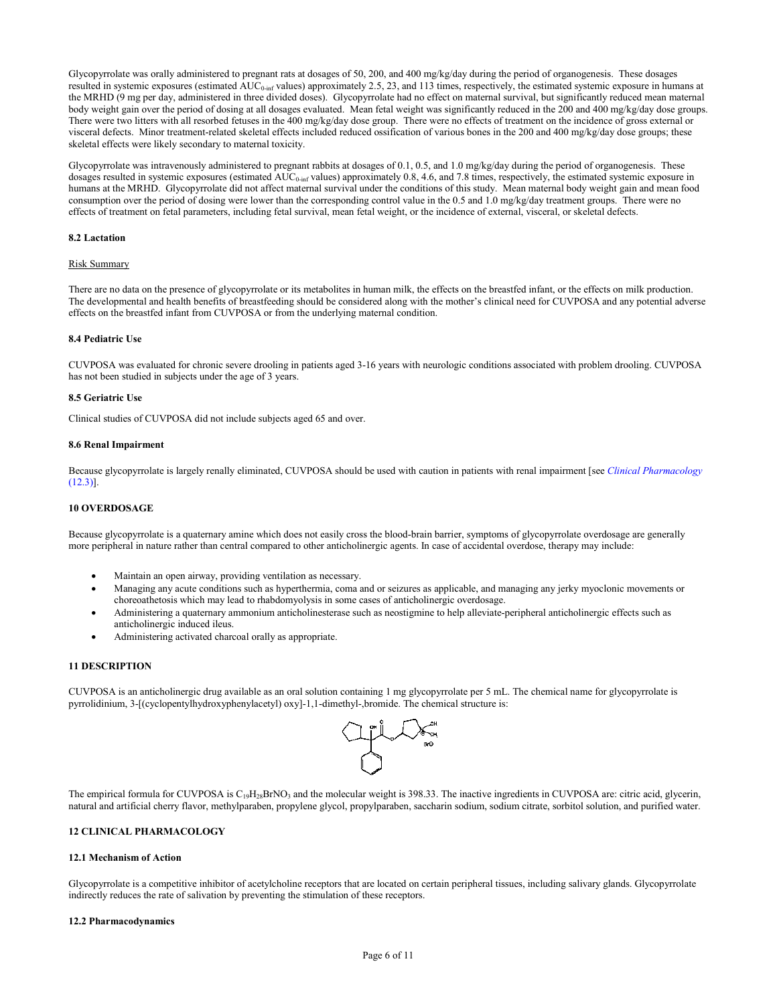<span id="page-5-0"></span>Glycopyrrolate was orally administered to pregnant rats at dosages of 50, 200, and 400 mg/kg/day during the period of organogenesis. These dosages resulted in systemic exposures (estimated AUC<sub>0-inf</sub> values) approximately 2.5, 23, and 113 times, respectively, the estimated systemic exposure in humans at the MRHD (9 mg per day, administered in three divided doses). Glycopyrrolate had no effect on maternal survival, but significantly reduced mean maternal body weight gain over the period of dosing at all dosages evaluated. Mean fetal weight was significantly reduced in the 200 and 400 mg/kg/day dose groups. There were two litters with all resorbed fetuses in the 400 mg/kg/day dose group. There were no effects of treatment on the incidence of gross external or visceral defects. Minor treatment-related skeletal effects included reduced ossification of various bones in the 200 and 400 mg/kg/day dose groups; these skeletal effects were likely secondary to maternal toxicity.

Glycopyrrolate was intravenously administered to pregnant rabbits at dosages of 0.1, 0.5, and 1.0 mg/kg/day during the period of organogenesis. These dosages resulted in systemic exposures (estimated  $AUC_{0\text{-inf}}$  values) approximately 0.8, 4.6, and 7.8 times, respectively, the estimated systemic exposure in humans at the MRHD. Glycopyrrolate did not affect maternal survival under the conditions of this study. Mean maternal body weight gain and mean food consumption over the period of dosing were lower than the corresponding control value in the 0.5 and 1.0 mg/kg/day treatment groups. There were no effects of treatment on fetal parameters, including fetal survival, mean fetal weight, or the incidence of external, visceral, or skeletal defects.

# **8.2 Lactation**

# Risk Summary

There are no data on the presence of glycopyrrolate or its metabolites in human milk, the effects on the breastfed infant, or the effects on milk production. The developmental and health benefits of breastfeeding should be considered along with the mother's clinical need for CUVPOSA and any potential adverse effects on the breastfed infant from CUVPOSA or from the underlying maternal condition.

# **8.4 Pediatric Use**

CUVPOSA was evaluated for chronic severe drooling in patients aged 3-16 years with neurologic conditions associated with problem drooling. CUVPOSA has not been studied in subjects under the age of 3 years.

### **8.5 Geriatric Use**

Clinical studies of CUVPOSA did not include subjects aged 65 and over.

#### **8.6 Renal Impairment**

Because glycopyrrolate is largely renally eliminated, CUVPOSA should be used with caution in patients with renal impairment [see *[Clinical Pharmacology](#page-6-0)* [\(12.3\)\].](#page-6-0)

### **10 OVERDOSAGE**

Because glycopyrrolate is a quaternary amine which does not easily cross the blood-brain barrier, symptoms of glycopyrrolate overdosage are generally more peripheral in nature rather than central compared to other anticholinergic agents. In case of accidental overdose, therapy may include:

- Maintain an open airway, providing ventilation as necessary.
- Managing any acute conditions such as hyperthermia, coma and or seizures as applicable, and managing any jerky myoclonic movements or choreoathetosis which may lead to rhabdomyolysis in some cases of anticholinergic overdosage.
- Administering a quaternary ammonium anticholinesterase such as neostigmine to help alleviate-peripheral anticholinergic effects such as anticholinergic induced ileus.
- Administering activated charcoal orally as appropriate.

### **11 DESCRIPTION**

CUVPOSA is an anticholinergic drug available as an oral solution containing 1 mg glycopyrrolate per 5 mL. The chemical name for glycopyrrolate is pyrrolidinium, 3-[(cyclopentylhydroxyphenylacetyl) oxy]-1,1-dimethyl-,bromide. The chemical structure is:



The empirical formula for CUVPOSA is  $C_{19}H_{28}BrNO_3$  and the molecular weight is 398.33. The inactive ingredients in CUVPOSA are: citric acid, glycerin, natural and artificial cherry flavor, methylparaben, propylene glycol, propylparaben, saccharin sodium, sodium citrate, sorbitol solution, and purified water.

### **12 CLINICAL PHARMACOLOGY**

### **12.1 Mechanism of Action**

Glycopyrrolate is a competitive inhibitor of acetylcholine receptors that are located on certain peripheral tissues, including salivary glands. Glycopyrrolate indirectly reduces the rate of salivation by preventing the stimulation of these receptors.

#### **12.2 Pharmacodynamics**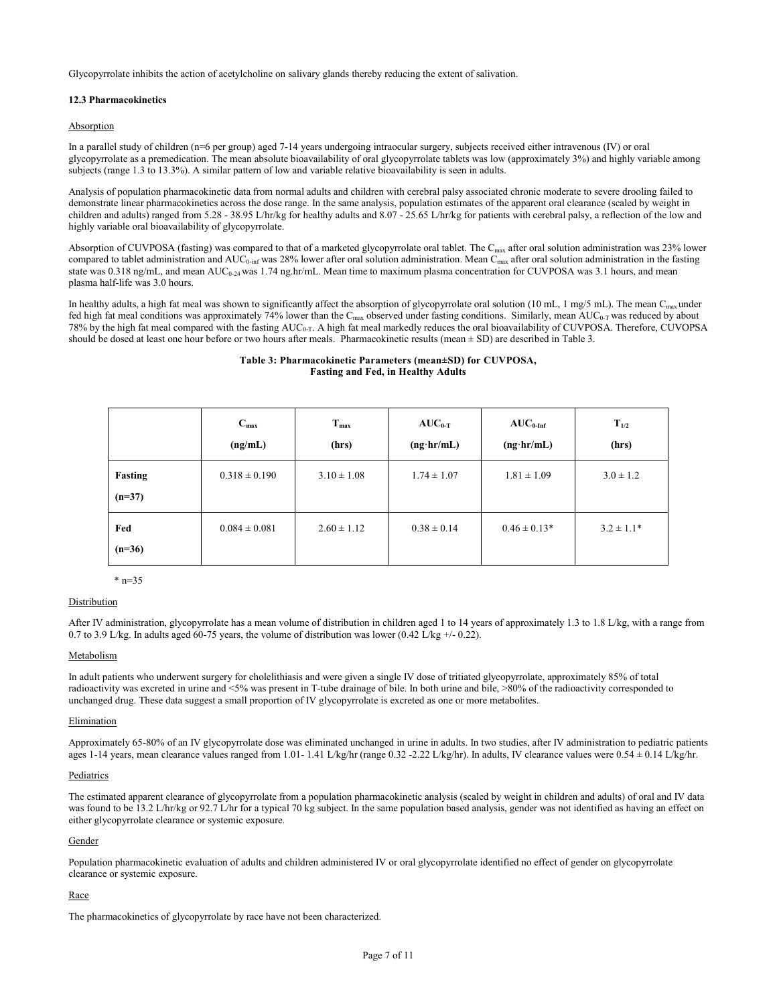<span id="page-6-0"></span>Glycopyrrolate inhibits the action of acetylcholine on salivary glands thereby reducing the extent of salivation.

# **12.3 Pharmacokinetics**

# Absorption

In a parallel study of children (n=6 per group) aged 7-14 years undergoing intraocular surgery, subjects received either intravenous (IV) or oral glycopyrrolate as a premedication. The mean absolute bioavailability of oral glycopyrrolate tablets was low (approximately 3%) and highly variable among subjects (range 1.3 to 13.3%). A similar pattern of low and variable relative bioavailability is seen in adults.

Analysis of population pharmacokinetic data from normal adults and children with cerebral palsy associated chronic moderate to severe drooling failed to demonstrate linear pharmacokinetics across the dose range. In the same analysis, population estimates of the apparent oral clearance (scaled by weight in children and adults) ranged from 5.28 - 38.95 L/hr/kg for healthy adults and 8.07 - 25.65 L/hr/kg for patients with cerebral palsy, a reflection of the low and highly variable oral bioavailability of glycopyrrolate.

Absorption of CUVPOSA (fasting) was compared to that of a marketed glycopyrrolate oral tablet. The  $C_{\text{max}}$  after oral solution administration was 23% lower compared to tablet administration and AUC<sub>0-inf</sub> was 28% lower after oral solution administration. Mean C<sub>max</sub> after oral solution administration in the fasting state was 0.318 ng/mL, and mean AUC<sub>0-24</sub> was 1.74 ng.hr/mL. Mean time to maximum plasma concentration for CUVPOSA was 3.1 hours, and mean plasma half-life was 3.0 hours.

In healthy adults, a high fat meal was shown to significantly affect the absorption of glycopyrrolate oral solution (10 mL, 1 mg/5 mL). The mean C<sub>max</sub> under fed high fat meal conditions was approximately 74% lower than the C<sub>max</sub> observed under fasting conditions. Similarly, mean AUC<sub>0-T</sub> was reduced by about 78% by the high fat meal compared with the fasting AUC0-T. A high fat meal markedly reduces the oral bioavailability of CUVPOSA. Therefore, CUVOPSA should be dosed at least one hour before or two hours after meals. Pharmacokinetic results (mean  $\pm$  SD) are described in Table 3.

# **Table 3: Pharmacokinetic Parameters (mean±SD) for CUVPOSA, Fasting and Fed, in Healthy Adults**

|                     | $C_{\text{max}}$<br>(ng/mL) | $T_{\text{max}}$<br>(hrs) | $AUC_{0-T}$<br>$(ng\cdot hr/mL)$ | $AUC_{0\text{-Inf}}$<br>$(ng\cdot hr/mL)$ | $T_{1/2}$<br>(hrs) |
|---------------------|-----------------------------|---------------------------|----------------------------------|-------------------------------------------|--------------------|
| Fasting<br>$(n=37)$ | $0.318 \pm 0.190$           | $3.10 \pm 1.08$           | $1.74 \pm 1.07$                  | $1.81 \pm 1.09$                           | $3.0 \pm 1.2$      |
| Fed<br>$(n=36)$     | $0.084 \pm 0.081$           | $2.60 \pm 1.12$           | $0.38 \pm 0.14$                  | $0.46 \pm 0.13*$                          | $3.2 \pm 1.1*$     |

 $*$  n=35

### Distribution

After IV administration, glycopyrrolate has a mean volume of distribution in children aged 1 to 14 years of approximately 1.3 to 1.8 L/kg, with a range from 0.7 to 3.9 L/kg. In adults aged 60-75 years, the volume of distribution was lower (0.42 L/kg +/- 0.22).

### Metabolism

In adult patients who underwent surgery for cholelithiasis and were given a single IV dose of tritiated glycopyrrolate, approximately 85% of total radioactivity was excreted in urine and <5% was present in T-tube drainage of bile. In both urine and bile, >80% of the radioactivity corresponded to unchanged drug. These data suggest a small proportion of IV glycopyrrolate is excreted as one or more metabolites.

### Elimination

Approximately 65-80% of an IV glycopyrrolate dose was eliminated unchanged in urine in adults. In two studies, after IV administration to pediatric patients ages 1-14 years, mean clearance values ranged from 1.01- 1.41 L/kg/hr (range 0.32 -2.22 L/kg/hr). In adults, IV clearance values were 0.54 ± 0.14 L/kg/hr.

### **Pediatrics**

The estimated apparent clearance of glycopyrrolate from a population pharmacokinetic analysis (scaled by weight in children and adults) of oral and IV data was found to be 13.2 L/hr/kg or 92.7 L/hr for a typical 70 kg subject. In the same population based analysis, gender was not identified as having an effect on either glycopyrrolate clearance or systemic exposure.

### Gender

Population pharmacokinetic evaluation of adults and children administered IV or oral glycopyrrolate identified no effect of gender on glycopyrrolate clearance or systemic exposure.

### Race

The pharmacokinetics of glycopyrrolate by race have not been characterized.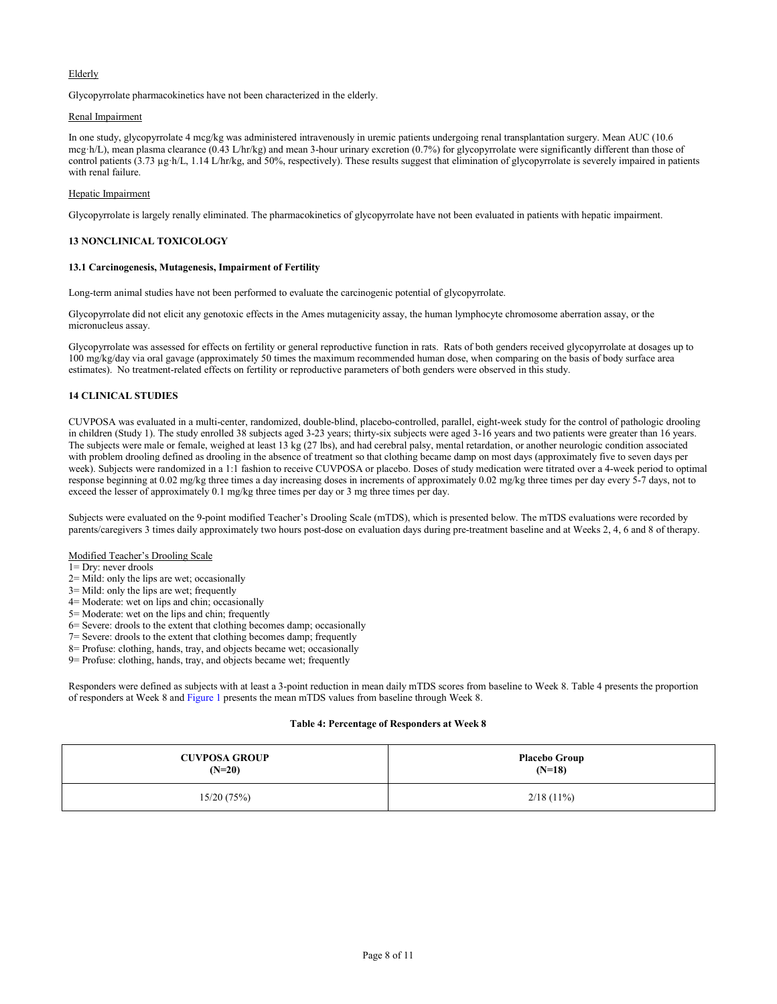# <span id="page-7-0"></span>Elderly

Glycopyrrolate pharmacokinetics have not been characterized in the elderly.

# Renal Impairment

In one study, glycopyrrolate 4 mcg/kg was administered intravenously in uremic patients undergoing renal transplantation surgery. Mean AUC (10.6 mcg·h/L), mean plasma clearance (0.43 L/hr/kg) and mean 3-hour urinary excretion (0.7%) for glycopyrrolate were significantly different than those of control patients (3.73 µg·h/L, 1.14 L/hr/kg, and 50%, respectively). These results suggest that elimination of glycopyrrolate is severely impaired in patients with renal failure.

# Hepatic Impairment

Glycopyrrolate is largely renally eliminated. The pharmacokinetics of glycopyrrolate have not been evaluated in patients with hepatic impairment.

# **13 NONCLINICAL TOXICOLOGY**

# **13.1 Carcinogenesis, Mutagenesis, Impairment of Fertility**

Long-term animal studies have not been performed to evaluate the carcinogenic potential of glycopyrrolate.

Glycopyrrolate did not elicit any genotoxic effects in the Ames mutagenicity assay, the human lymphocyte chromosome aberration assay, or the micronucleus assay.

Glycopyrrolate was assessed for effects on fertility or general reproductive function in rats. Rats of both genders received glycopyrrolate at dosages up to 100 mg/kg/day via oral gavage (approximately 50 times the maximum recommended human dose, when comparing on the basis of body surface area estimates). No treatment-related effects on fertility or reproductive parameters of both genders were observed in this study.

# **14 CLINICAL STUDIES**

CUVPOSA was evaluated in a multi-center, randomized, double-blind, placebo-controlled, parallel, eight-week study for the control of pathologic drooling in children (Study 1). The study enrolled 38 subjects aged 3-23 years; thirty-six subjects were aged 3-16 years and two patients were greater than 16 years. The subjects were male or female, weighed at least 13 kg (27 lbs), and had cerebral palsy, mental retardation, or another neurologic condition associated with problem drooling defined as drooling in the absence of treatment so that clothing became damp on most days (approximately five to seven days per week). Subjects were randomized in a 1:1 fashion to receive CUVPOSA or placebo. Doses of study medication were titrated over a 4-week period to optimal response beginning at 0.02 mg/kg three times a day increasing doses in increments of approximately 0.02 mg/kg three times per day every 5-7 days, not to exceed the lesser of approximately 0.1 mg/kg three times per day or 3 mg three times per day.

Subjects were evaluated on the 9-point modified Teacher's Drooling Scale (mTDS), which is presented below. The mTDS evaluations were recorded by parents/caregivers 3 times daily approximately two hours post-dose on evaluation days during pre-treatment baseline and at Weeks 2, 4, 6 and 8 of therapy.

# Modified Teacher's Drooling Scale

- 1= Dry: never drools
- 2= Mild: only the lips are wet; occasionally
- 3= Mild: only the lips are wet; frequently
- 4= Moderate: wet on lips and chin; occasionally
- 5= Moderate: wet on the lips and chin; frequently
- 6= Severe: drools to the extent that clothing becomes damp; occasionally
- 7= Severe: drools to the extent that clothing becomes damp; frequently
- 8= Profuse: clothing, hands, tray, and objects became wet; occasionally
- 9= Profuse: clothing, hands, tray, and objects became wet; frequently

Responders were defined as subjects with at least a 3-point reduction in mean daily mTDS scores from baseline to Week 8. Table 4 presents the proportion of responders at Week 8 and [Figure 1](#page-8-1) presents the mean mTDS values from baseline through Week 8.

# **Table 4: Percentage of Responders at Week 8**

| <b>CUVPOSA GROUP</b> | <b>Placebo Group</b> |
|----------------------|----------------------|
| $(N=20)$             | $(N=18)$             |
| 15/20(75%)           | $2/18(11\%)$         |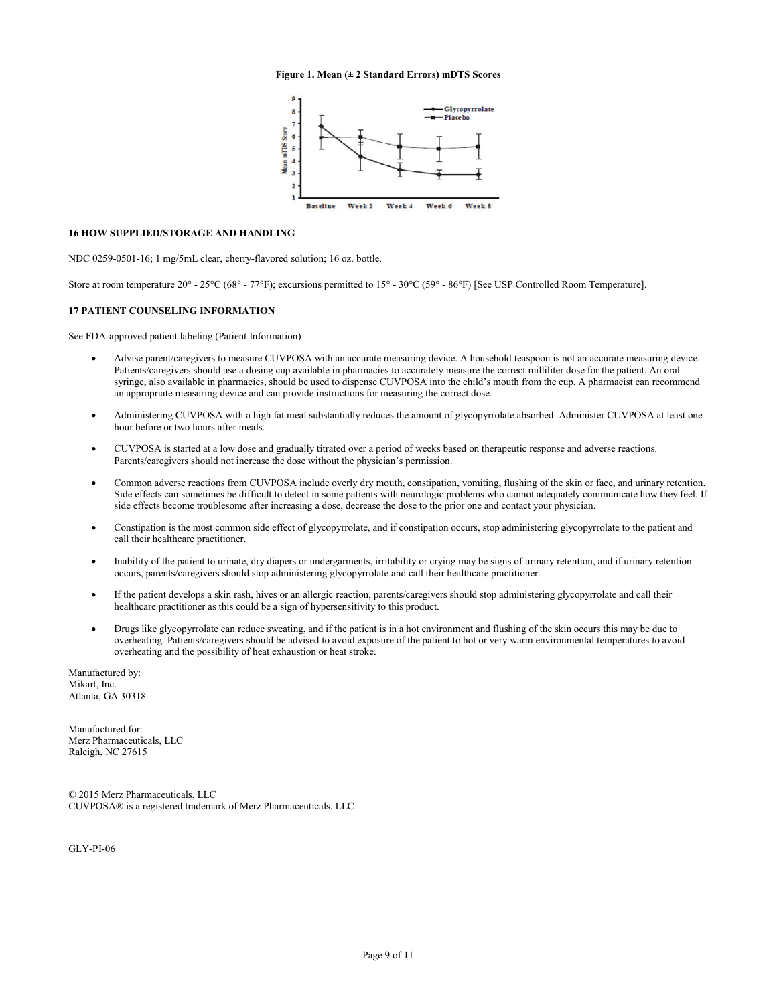### **Figure 1. Mean (± 2 Standard Errors) mDTS Scores**



# <span id="page-8-1"></span><span id="page-8-0"></span>**16 HOW SUPPLIED/STORAGE AND HANDLING**

NDC 0259-0501-16; 1 mg/5mL clear, cherry-flavored solution; 16 oz. bottle.

Store at room temperature 20° - 25°C (68° - 77°F); excursions permitted to 15° - 30°C (59° - 86°F) [See USP Controlled Room Temperature].

### **17 PATIENT COUNSELING INFORMATION**

See FDA-approved patient labeling (Patient Information)

- Advise parent/caregivers to measure CUVPOSA with an accurate measuring device. A household teaspoon is not an accurate measuring device. Patients/caregivers should use a dosing cup available in pharmacies to accurately measure the correct milliliter dose for the patient. An oral syringe, also available in pharmacies, should be used to dispense CUVPOSA into the child's mouth from the cup. A pharmacist can recommend an appropriate measuring device and can provide instructions for measuring the correct dose.
- Administering CUVPOSA with a high fat meal substantially reduces the amount of glycopyrrolate absorbed. Administer CUVPOSA at least one hour before or two hours after meals.
- CUVPOSA is started at a low dose and gradually titrated over a period of weeks based on therapeutic response and adverse reactions. Parents/caregivers should not increase the dose without the physician's permission.
- Common adverse reactions from CUVPOSA include overly dry mouth, constipation, vomiting, flushing of the skin or face, and urinary retention. Side effects can sometimes be difficult to detect in some patients with neurologic problems who cannot adequately communicate how they feel. If side effects become troublesome after increasing a dose, decrease the dose to the prior one and contact your physician.
- Constipation is the most common side effect of glycopyrrolate, and if constipation occurs, stop administering glycopyrrolate to the patient and call their healthcare practitioner.
- Inability of the patient to urinate, dry diapers or undergarments, irritability or crying may be signs of urinary retention, and if urinary retention occurs, parents/caregivers should stop administering glycopyrrolate and call their healthcare practitioner.
- If the patient develops a skin rash, hives or an allergic reaction, parents/caregivers should stop administering glycopyrrolate and call their healthcare practitioner as this could be a sign of hypersensitivity to this product.
- Drugs like glycopyrrolate can reduce sweating, and if the patient is in a hot environment and flushing of the skin occurs this may be due to overheating. Patients/caregivers should be advised to avoid exposure of the patient to hot or very warm environmental temperatures to avoid overheating and the possibility of heat exhaustion or heat stroke.

Manufactured by: Mikart, Inc. Atlanta, GA 30318

Manufactured for: Merz Pharmaceuticals, LLC Raleigh, NC 27615

© 2015 Merz Pharmaceuticals, LLC CUVPOSA® is a registered trademark of Merz Pharmaceuticals, LLC

GLY-PI-06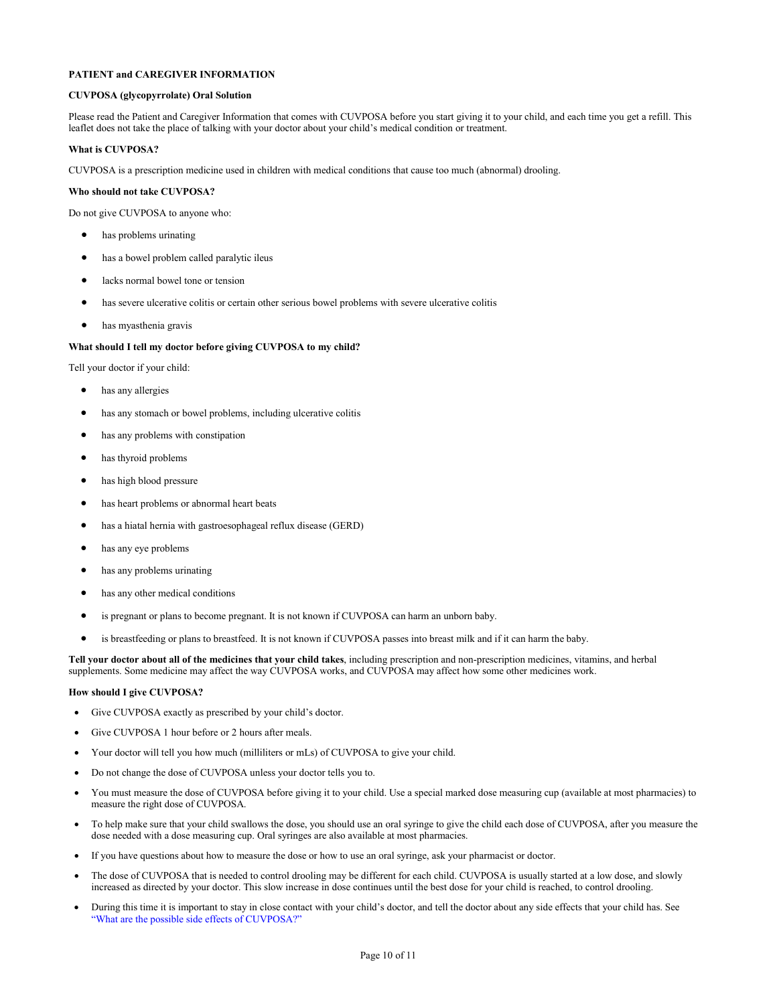# **PATIENT and CAREGIVER INFORMATION**

# **CUVPOSA (glycopyrrolate) Oral Solution**

Please read the Patient and Caregiver Information that comes with CUVPOSA before you start giving it to your child, and each time you get a refill. This leaflet does not take the place of talking with your doctor about your child's medical condition or treatment.

### **What is CUVPOSA?**

CUVPOSA is a prescription medicine used in children with medical conditions that cause too much (abnormal) drooling.

### **Who should not take CUVPOSA?**

Do not give CUVPOSA to anyone who:

- has problems urinating
- has a bowel problem called paralytic ileus
- lacks normal bowel tone or tension
- has severe ulcerative colitis or certain other serious bowel problems with severe ulcerative colitis
- has myasthenia gravis

# **What should I tell my doctor before giving CUVPOSA to my child?**

Tell your doctor if your child:

- has any allergies
- has any stomach or bowel problems, including ulcerative colitis
- has any problems with constipation
- has thyroid problems
- has high blood pressure
- has heart problems or abnormal heart beats
- has a hiatal hernia with gastroesophageal reflux disease (GERD)
- has any eye problems
- has any problems urinating
- has any other medical conditions
- is pregnant or plans to become pregnant. It is not known if CUVPOSA can harm an unborn baby.
- is breastfeeding or plans to breastfeed. It is not known if CUVPOSA passes into breast milk and if it can harm the baby.

**Tell your doctor about all of the medicines that your child takes**, including prescription and non-prescription medicines, vitamins, and herbal supplements. Some medicine may affect the way CUVPOSA works, and CUVPOSA may affect how some other medicines work.

### **How should I give CUVPOSA?**

- Give CUVPOSA exactly as prescribed by your child's doctor.
- Give CUVPOSA 1 hour before or 2 hours after meals.
- Your doctor will tell you how much (milliliters or mLs) of CUVPOSA to give your child.
- Do not change the dose of CUVPOSA unless your doctor tells you to.
- You must measure the dose of CUVPOSA before giving it to your child. Use a special marked dose measuring cup (available at most pharmacies) to measure the right dose of CUVPOSA.
- To help make sure that your child swallows the dose, you should use an oral syringe to give the child each dose of CUVPOSA, after you measure the dose needed with a dose measuring cup. Oral syringes are also available at most pharmacies.
- If you have questions about how to measure the dose or how to use an oral syringe, ask your pharmacist or doctor.
- The dose of CUVPOSA that is needed to control drooling may be different for each child. CUVPOSA is usually started at a low dose, and slowly increased as directed by your doctor. This slow increase in dose continues until the best dose for your child is reached, to control drooling.
- During this time it is important to stay in close contact with your child's doctor, and tell the doctor about any side effects that your child has. See ["What are the possible side effects of CUVPOSA?"](#page-10-0)